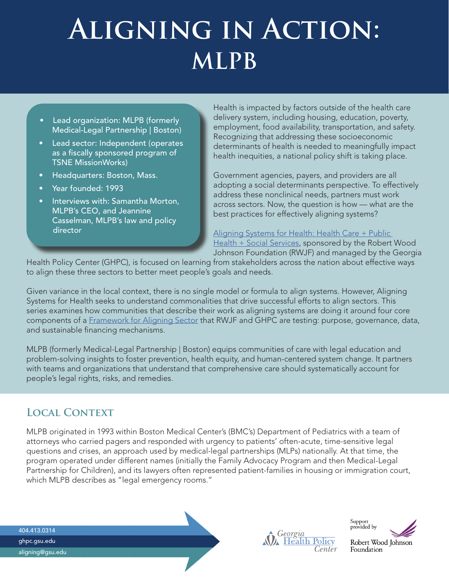# **Aligning in Action: MLPB**

- Lead organization: MLPB (formerly Medical-Legal Partnership | Boston)
- **Lead sector: Independent (operates)** as a fiscally sponsored program of TSNE MissionWorks)
- Headquarters: Boston, Mass.
- Year founded: 1993
- Interviews with: Samantha Morton, MLPB's CEO, and Jeannine Casselman, MLPB's law and policy director

Health is impacted by factors outside of the health care delivery system, including housing, education, poverty, employment, food availability, transportation, and safety. Recognizing that addressing these socioeconomic determinants of health is needed to meaningfully impact health inequities, a national policy shift is taking place.

Government agencies, payers, and providers are all adopting a social determinants perspective. To effectively address these nonclinical needs, partners must work across sectors. Now, the question is how — what are the best practices for effectively aligning systems?

[Aligning Systems for Health: Health Care + Public](http://ghpc.gsu.edu/projects/aligning)  [Health + Social Services,](http://ghpc.gsu.edu/projects/aligning) sponsored by the Robert Wood Johnson Foundation (RWJF) and managed by the Georgia

Health Policy Center (GHPC), is focused on learning from stakeholders across the nation about effective ways to align these three sectors to better meet people's goals and needs.

Given variance in the local context, there is no single model or formula to align systems. However, Aligning Systems for Health seeks to understand commonalities that drive successful efforts to align sectors. This series examines how communities that describe their work as aligning systems are doing it around four core components of a [Framework for Aligning Sector](https://ghpc.gsu.edu/developing-the-framework-for-aligning-sectors/) that RWJF and GHPC are testing: purpose, governance, data, and sustainable financing mechanisms.

MLPB (formerly Medical-Legal Partnership | Boston) equips communities of care with legal education and problem-solving insights to foster prevention, health equity, and human-centered system change. It partners with teams and organizations that understand that comprehensive care should systematically account for people's legal rights, risks, and remedies.

### **Local Context**

MLPB originated in 1993 within Boston Medical Center's (BMC's) Department of Pediatrics with a team of attorneys who carried pagers and responded with urgency to patients' often-acute, time-sensitive legal questions and crises, an approach used by medical-legal partnerships (MLPs) nationally. At that time, the program operated under different names (initially the Family Advocacy Program and then Medical-Legal Partnership for Children), and its lawyers often represented patient-families in housing or immigration court, which MLPB describes as "legal emergency rooms."

404.413.0314 ghpc.gsu.edu aligning@gsu.edu

Georgia<br>Health Policy Center

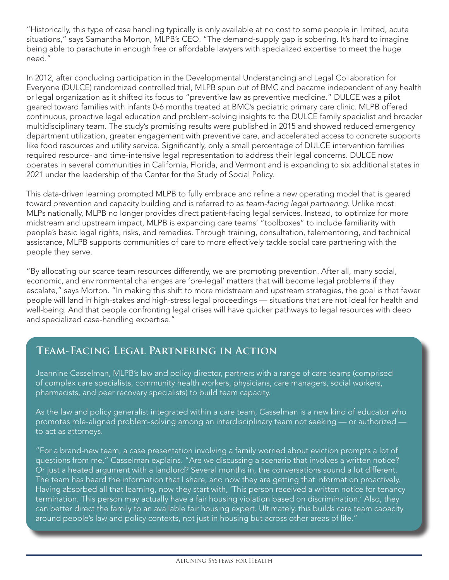"Historically, this type of case handling typically is only available at no cost to some people in limited, acute situations," says Samantha Morton, MLPB's CEO. "The demand-supply gap is sobering. It's hard to imagine being able to parachute in enough free or affordable lawyers with specialized expertise to meet the huge need."

In 2012, after concluding participation in the Developmental Understanding and Legal Collaboration for Everyone (DULCE) randomized controlled trial, MLPB spun out of BMC and became independent of any health or legal organization as it shifted its focus to "preventive law as preventive medicine." DULCE was a pilot geared toward families with infants 0-6 months treated at BMC's pediatric primary care clinic. MLPB offered continuous, proactive legal education and problem-solving insights to the DULCE family specialist and broader multidisciplinary team. The study's promising results were published in 2015 and showed reduced emergency department utilization, greater engagement with preventive care, and accelerated access to concrete supports like food resources and utility service. Significantly, only a small percentage of DULCE intervention families required resource- and time-intensive legal representation to address their legal concerns. DULCE now operates in several communities in California, Florida, and Vermont and is expanding to six additional states in 2021 under the leadership of the Center for the Study of Social Policy.

This data-driven learning prompted MLPB to fully embrace and refine a new operating model that is geared toward prevention and capacity building and is referred to as *team-facing legal partnering*. Unlike most MLPs nationally, MLPB no longer provides direct patient-facing legal services. Instead, to optimize for more midstream and upstream impact, MLPB is expanding care teams' "toolboxes" to include familiarity with people's basic legal rights, risks, and remedies. Through training, consultation, telementoring, and technical assistance, MLPB supports communities of care to more effectively tackle social care partnering with the people they serve.

"By allocating our scarce team resources differently, we are promoting prevention. After all, many social, economic, and environmental challenges are 'pre-legal' matters that will become legal problems if they escalate," says Morton. "In making this shift to more midstream and upstream strategies, the goal is that fewer people will land in high-stakes and high-stress legal proceedings — situations that are not ideal for health and well-being. And that people confronting legal crises will have quicker pathways to legal resources with deep and specialized case-handling expertise."

### **Team-Facing Legal Partnering in Action**

Jeannine Casselman, MLPB's law and policy director, partners with a range of care teams (comprised of complex care specialists, community health workers, physicians, care managers, social workers, pharmacists, and peer recovery specialists) to build team capacity.

As the law and policy generalist integrated within a care team, Casselman is a new kind of educator who promotes role-aligned problem-solving among an interdisciplinary team not seeking — or authorized to act as attorneys.

"For a brand-new team, a case presentation involving a family worried about eviction prompts a lot of questions from me," Casselman explains. "Are we discussing a scenario that involves a written notice? Or just a heated argument with a landlord? Several months in, the conversations sound a lot different. The team has heard the information that I share, and now they are getting that information proactively. Having absorbed all that learning, now they start with, 'This person received a written notice for tenancy termination. This person may actually have a fair housing violation based on discrimination.' Also, they can better direct the family to an available fair housing expert. Ultimately, this builds care team capacity around people's law and policy contexts, not just in housing but across other areas of life."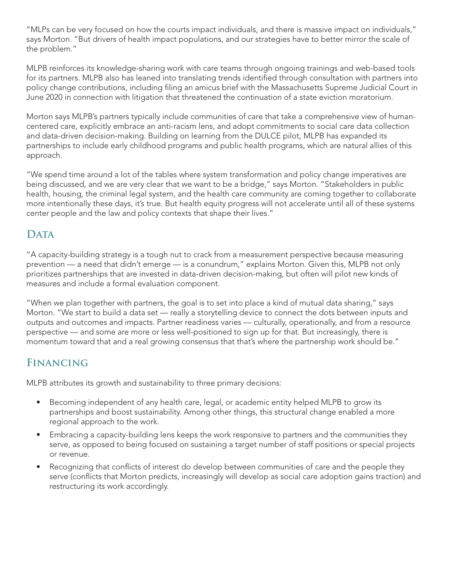"MLPs can be very focused on how the courts impact individuals, and there is massive impact on individuals," says Morton. "But drivers of health impact populations, and our strategies have to better mirror the scale of the problem."

MLPB reinforces its knowledge-sharing work with care teams through ongoing trainings and web-based tools for its partners. MLPB also has leaned into translating trends identified through consultation with partners into policy change contributions, including filing an amicus brief with the Massachusetts Supreme Judicial Court in June 2020 in connection with litigation that threatened the continuation of a state eviction moratorium.

Morton says MLPB's partners typically include communities of care that take a comprehensive view of humancentered care, explicitly embrace an anti-racism lens, and adopt commitments to social care data collection and data-driven decision-making. Building on learning from the DULCE pilot, MLPB has expanded its partnerships to include early childhood programs and public health programs, which are natural allies of this approach.

"We spend time around a lot of the tables where system transformation and policy change imperatives are being discussed, and we are very clear that we want to be a bridge," says Morton. "Stakeholders in public health, housing, the criminal legal system, and the health care community are coming together to collaborate more intentionally these days, it's true. But health equity progress will not accelerate until all of these systems center people and the law and policy contexts that shape their lives."

## DATA

"A capacity-building strategy is a tough nut to crack from a measurement perspective because measuring prevention — a need that didn't emerge — is a conundrum," explains Morton. Given this, MLPB not only prioritizes partnerships that are invested in data-driven decision-making, but often will pilot new kinds of measures and include a formal evaluation component.

"When we plan together with partners, the goal is to set into place a kind of mutual data sharing," says Morton. "We start to build a data set — really a storytelling device to connect the dots between inputs and outputs and outcomes and impacts. Partner readiness varies — culturally, operationally, and from a resource perspective — and some are more or less well-positioned to sign up for that. But increasingly, there is momentum toward that and a real growing consensus that that's where the partnership work should be."

### **Financing**

MLPB attributes its growth and sustainability to three primary decisions:

- Becoming independent of any health care, legal, or academic entity helped MLPB to grow its partnerships and boost sustainability. Among other things, this structural change enabled a more regional approach to the work.
- Embracing a capacity-building lens keeps the work responsive to partners and the communities they serve, as opposed to being focused on sustaining a target number of staff positions or special projects or revenue.
- Recognizing that conflicts of interest do develop between communities of care and the people they serve (conflicts that Morton predicts, increasingly will develop as social care adoption gains traction) and restructuring its work accordingly.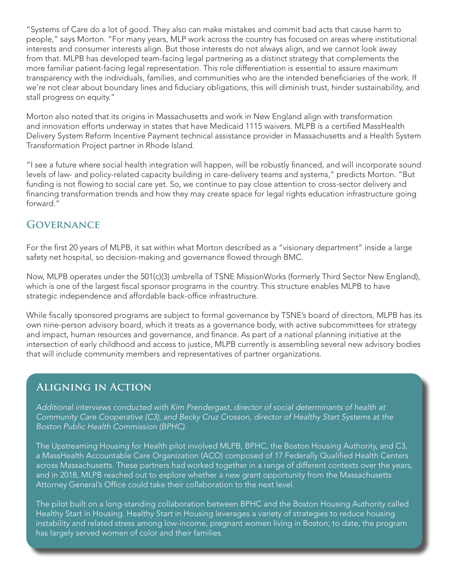"Systems of Care do a lot of good. They also can make mistakes and commit bad acts that cause harm to people," says Morton. "For many years, MLP work across the country has focused on areas where institutional interests and consumer interests align. But those interests do not always align, and we cannot look away from that. MLPB has developed team-facing legal partnering as a distinct strategy that complements the more familiar patient-facing legal representation. This role differentiation is essential to assure maximum transparency with the individuals, families, and communities who are the intended beneficiaries of the work. If we're not clear about boundary lines and fiduciary obligations, this will diminish trust, hinder sustainability, and stall progress on equity."

Morton also noted that its origins in Massachusetts and work in New England align with transformation and innovation efforts underway in states that have Medicaid 1115 waivers. MLPB is a certified MassHealth Delivery System Reform Incentive Payment technical assistance provider in Massachusetts and a Health System Transformation Project partner in Rhode Island.

"I see a future where social health integration will happen, will be robustly financed, and will incorporate sound levels of law- and policy-related capacity building in care-delivery teams and systems," predicts Morton. "But funding is not flowing to social care yet. So, we continue to pay close attention to cross-sector delivery and financing transformation trends and how they may create space for legal rights education infrastructure going forward."

#### **Governance**

For the first 20 years of MLPB, it sat within what Morton described as a "visionary department" inside a large safety net hospital, so decision-making and governance flowed through BMC.

Now, MLPB operates under the 501(c)(3) umbrella of TSNE MissionWorks (formerly Third Sector New England), which is one of the largest fiscal sponsor programs in the country. This structure enables MLPB to have strategic independence and affordable back-office infrastructure.

While fiscally sponsored programs are subject to formal governance by TSNE's board of directors, MLPB has its own nine-person advisory board, which it treats as a governance body, with active subcommittees for strategy and impact, human resources and governance, and finance. As part of a national planning initiative at the intersection of early childhood and access to justice, MLPB currently is assembling several new advisory bodies that will include community members and representatives of partner organizations.

#### **Aligning in Action**

*Additional interviews conducted with Kim Prendergast, director of social determinants of health at Community Care Cooperative (C3), and Becky Cruz Crosson, director of Healthy Start Systems at the Boston Public Health Commission (BPHC).*

The Upstreaming Housing for Health pilot involved MLPB, BPHC, the Boston Housing Authority, and C3, a MassHealth Accountable Care Organization (ACO) composed of 17 Federally Qualified Health Centers across Massachusetts. These partners had worked together in a range of different contexts over the years, and in 2018, MLPB reached out to explore whether a new grant opportunity from the Massachusetts Attorney General's Office could take their collaboration to the next level.

The pilot built on a long-standing collaboration between BPHC and the Boston Housing Authority called Healthy Start in Housing. Healthy Start in Housing leverages a variety of strategies to reduce housing instability and related stress among low-income, pregnant women living in Boston; to date, the program has largely served women of color and their families.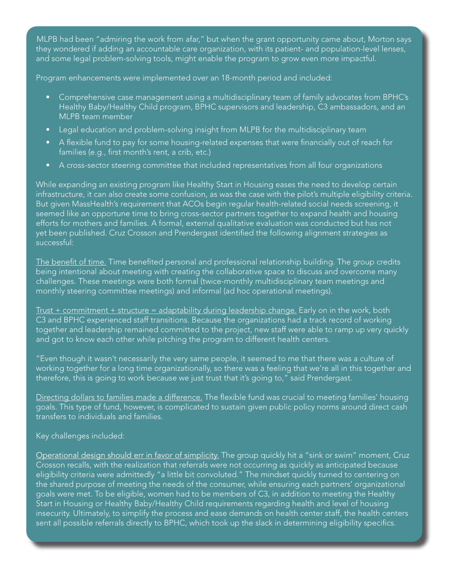MLPB had been "admiring the work from afar," but when the grant opportunity came about, Morton says they wondered if adding an accountable care organization, with its patient- and population-level lenses, and some legal problem-solving tools, might enable the program to grow even more impactful.

Program enhancements were implemented over an 18-month period and included:

- Comprehensive case management using a multidisciplinary team of family advocates from BPHC's Healthy Baby/Healthy Child program, BPHC supervisors and leadership, C3 ambassadors, and an MLPB team member
- Legal education and problem-solving insight from MLPB for the multidisciplinary team
- A flexible fund to pay for some housing-related expenses that were financially out of reach for families (e.g., first month's rent, a crib, etc.)
- A cross-sector steering committee that included representatives from all four organizations

While expanding an existing program like Healthy Start in Housing eases the need to develop certain infrastructure, it can also create some confusion, as was the case with the pilot's multiple eligibility criteria. But given MassHealth's requirement that ACOs begin regular health-related social needs screening, it seemed like an opportune time to bring cross-sector partners together to expand health and housing efforts for mothers and families. A formal, external qualitative evaluation was conducted but has not yet been published. Cruz Crosson and Prendergast identified the following alignment strategies as successful:

The benefit of time. Time benefited personal and professional relationship building. The group credits being intentional about meeting with creating the collaborative space to discuss and overcome many challenges. These meetings were both formal (twice-monthly multidisciplinary team meetings and monthly steering committee meetings) and informal (ad hoc operational meetings).

 $Trust + commitment + structure = adaptability during leadership change. Early on in the work, both$ C3 and BPHC experienced staff transitions. Because the organizations had a track record of working together and leadership remained committed to the project, new staff were able to ramp up very quickly and got to know each other while pitching the program to different health centers.

"Even though it wasn't necessarily the very same people, it seemed to me that there was a culture of working together for a long time organizationally, so there was a feeling that we're all in this together and therefore, this is going to work because we just trust that it's going to," said Prendergast.

Directing dollars to families made a difference. The flexible fund was crucial to meeting families' housing goals. This type of fund, however, is complicated to sustain given public policy norms around direct cash transfers to individuals and families.

#### Key challenges included:

Operational design should err in favor of simplicity. The group quickly hit a "sink or swim" moment, Cruz Crosson recalls, with the realization that referrals were not occurring as quickly as anticipated because eligibility criteria were admittedly "a little bit convoluted." The mindset quickly turned to centering on the shared purpose of meeting the needs of the consumer, while ensuring each partners' organizational goals were met. To be eligible, women had to be members of C3, in addition to meeting the Healthy Start in Housing or Healthy Baby/Healthy Child requirements regarding health and level of housing insecurity. Ultimately, to simplify the process and ease demands on health center staff, the health centers sent all possible referrals directly to BPHC, which took up the slack in determining eligibility specifics.